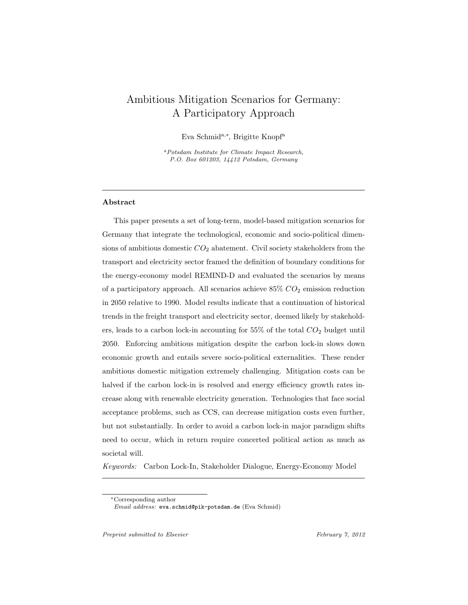# Ambitious Mitigation Scenarios for Germany: A Participatory Approach

Eva Schmida,<sup>∗</sup> , Brigitte Knopf<sup>a</sup>

<sup>a</sup>Potsdam Institute for Climate Impact Research, P.O. Box 601203, 14412 Potsdam, Germany

# Abstract

This paper presents a set of long-term, model-based mitigation scenarios for Germany that integrate the technological, economic and socio-political dimensions of ambitious domestic  $CO<sub>2</sub>$  abatement. Civil society stakeholders from the transport and electricity sector framed the definition of boundary conditions for the energy-economy model REMIND-D and evaluated the scenarios by means of a participatory approach. All scenarios achieve  $85\%$   $CO_2$  emission reduction in 2050 relative to 1990. Model results indicate that a continuation of historical trends in the freight transport and electricity sector, deemed likely by stakeholders, leads to a carbon lock-in accounting for  $55\%$  of the total  $CO<sub>2</sub>$  budget until 2050. Enforcing ambitious mitigation despite the carbon lock-in slows down economic growth and entails severe socio-political externalities. These render ambitious domestic mitigation extremely challenging. Mitigation costs can be halved if the carbon lock-in is resolved and energy efficiency growth rates increase along with renewable electricity generation. Technologies that face social acceptance problems, such as CCS, can decrease mitigation costs even further, but not substantially. In order to avoid a carbon lock-in major paradigm shifts need to occur, which in return require concerted political action as much as societal will.

Keywords: Carbon Lock-In, Stakeholder Dialogue, Energy-Economy Model

Preprint submitted to Elsevier February 7, 2012

<sup>∗</sup>Corresponding author

Email address: eva.schmid@pik-potsdam.de (Eva Schmid)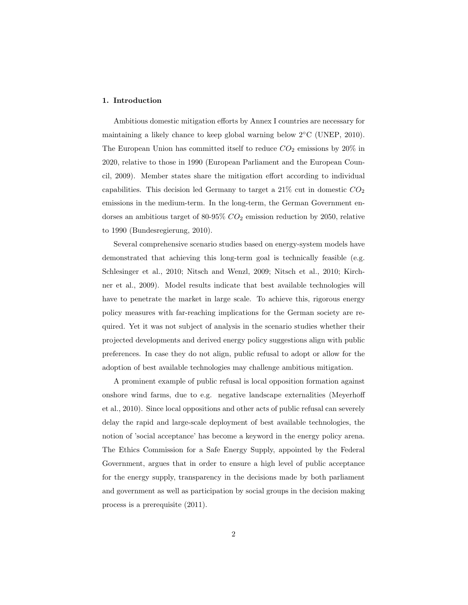# 1. Introduction

Ambitious domestic mitigation efforts by Annex I countries are necessary for maintaining a likely chance to keep global warning below 2◦C (UNEP, 2010). The European Union has committed itself to reduce  $CO<sub>2</sub>$  emissions by 20% in 2020, relative to those in 1990 (European Parliament and the European Council, 2009). Member states share the mitigation effort according to individual capabilities. This decision led Germany to target a  $21\%$  cut in domestic  $CO<sub>2</sub>$ emissions in the medium-term. In the long-term, the German Government endorses an ambitious target of 80-95%  $CO<sub>2</sub>$  emission reduction by 2050, relative to 1990 (Bundesregierung, 2010).

Several comprehensive scenario studies based on energy-system models have demonstrated that achieving this long-term goal is technically feasible (e.g. Schlesinger et al., 2010; Nitsch and Wenzl, 2009; Nitsch et al., 2010; Kirchner et al., 2009). Model results indicate that best available technologies will have to penetrate the market in large scale. To achieve this, rigorous energy policy measures with far-reaching implications for the German society are required. Yet it was not subject of analysis in the scenario studies whether their projected developments and derived energy policy suggestions align with public preferences. In case they do not align, public refusal to adopt or allow for the adoption of best available technologies may challenge ambitious mitigation.

A prominent example of public refusal is local opposition formation against onshore wind farms, due to e.g. negative landscape externalities (Meyerhoff et al., 2010). Since local oppositions and other acts of public refusal can severely delay the rapid and large-scale deployment of best available technologies, the notion of 'social acceptance' has become a keyword in the energy policy arena. The Ethics Commission for a Safe Energy Supply, appointed by the Federal Government, argues that in order to ensure a high level of public acceptance for the energy supply, transparency in the decisions made by both parliament and government as well as participation by social groups in the decision making process is a prerequisite (2011).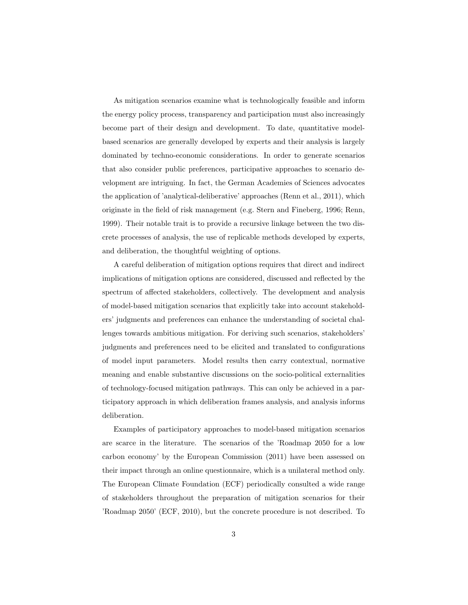As mitigation scenarios examine what is technologically feasible and inform the energy policy process, transparency and participation must also increasingly become part of their design and development. To date, quantitative modelbased scenarios are generally developed by experts and their analysis is largely dominated by techno-economic considerations. In order to generate scenarios that also consider public preferences, participative approaches to scenario development are intriguing. In fact, the German Academies of Sciences advocates the application of 'analytical-deliberative' approaches (Renn et al., 2011), which originate in the field of risk management (e.g. Stern and Fineberg, 1996; Renn, 1999). Their notable trait is to provide a recursive linkage between the two discrete processes of analysis, the use of replicable methods developed by experts, and deliberation, the thoughtful weighting of options.

A careful deliberation of mitigation options requires that direct and indirect implications of mitigation options are considered, discussed and reflected by the spectrum of affected stakeholders, collectively. The development and analysis of model-based mitigation scenarios that explicitly take into account stakeholders' judgments and preferences can enhance the understanding of societal challenges towards ambitious mitigation. For deriving such scenarios, stakeholders' judgments and preferences need to be elicited and translated to configurations of model input parameters. Model results then carry contextual, normative meaning and enable substantive discussions on the socio-political externalities of technology-focused mitigation pathways. This can only be achieved in a participatory approach in which deliberation frames analysis, and analysis informs deliberation.

Examples of participatory approaches to model-based mitigation scenarios are scarce in the literature. The scenarios of the 'Roadmap 2050 for a low carbon economy' by the European Commission (2011) have been assessed on their impact through an online questionnaire, which is a unilateral method only. The European Climate Foundation (ECF) periodically consulted a wide range of stakeholders throughout the preparation of mitigation scenarios for their 'Roadmap 2050' (ECF, 2010), but the concrete procedure is not described. To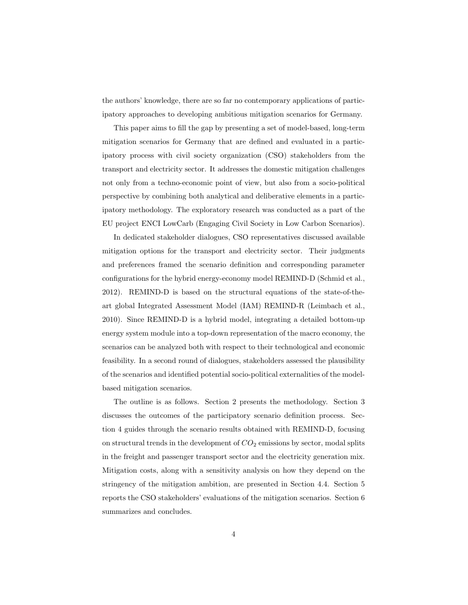the authors' knowledge, there are so far no contemporary applications of participatory approaches to developing ambitious mitigation scenarios for Germany.

This paper aims to fill the gap by presenting a set of model-based, long-term mitigation scenarios for Germany that are defined and evaluated in a participatory process with civil society organization (CSO) stakeholders from the transport and electricity sector. It addresses the domestic mitigation challenges not only from a techno-economic point of view, but also from a socio-political perspective by combining both analytical and deliberative elements in a participatory methodology. The exploratory research was conducted as a part of the EU project ENCI LowCarb (Engaging Civil Society in Low Carbon Scenarios).

In dedicated stakeholder dialogues, CSO representatives discussed available mitigation options for the transport and electricity sector. Their judgments and preferences framed the scenario definition and corresponding parameter configurations for the hybrid energy-economy model REMIND-D (Schmid et al., 2012). REMIND-D is based on the structural equations of the state-of-theart global Integrated Assessment Model (IAM) REMIND-R (Leimbach et al., 2010). Since REMIND-D is a hybrid model, integrating a detailed bottom-up energy system module into a top-down representation of the macro economy, the scenarios can be analyzed both with respect to their technological and economic feasibility. In a second round of dialogues, stakeholders assessed the plausibility of the scenarios and identified potential socio-political externalities of the modelbased mitigation scenarios.

The outline is as follows. Section 2 presents the methodology. Section 3 discusses the outcomes of the participatory scenario definition process. Section 4 guides through the scenario results obtained with REMIND-D, focusing on structural trends in the development of  $CO<sub>2</sub>$  emissions by sector, modal splits in the freight and passenger transport sector and the electricity generation mix. Mitigation costs, along with a sensitivity analysis on how they depend on the stringency of the mitigation ambition, are presented in Section 4.4. Section 5 reports the CSO stakeholders' evaluations of the mitigation scenarios. Section 6 summarizes and concludes.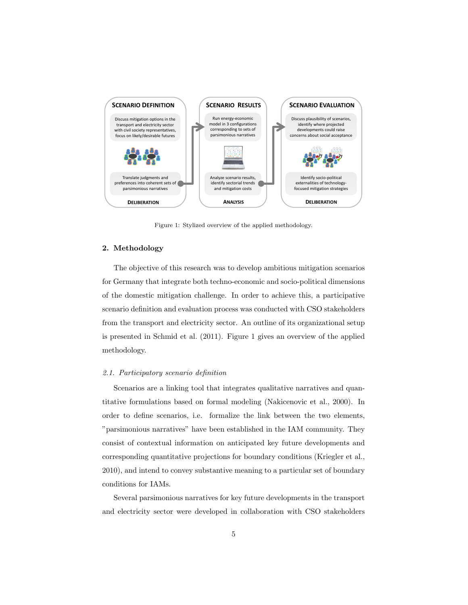

Figure 1: Stylized overview of the applied methodology.

# 2. Methodology

The objective of this research was to develop ambitious mitigation scenarios for Germany that integrate both techno-economic and socio-political dimensions of the domestic mitigation challenge. In order to achieve this, a participative scenario definition and evaluation process was conducted with CSO stakeholders from the transport and electricity sector. An outline of its organizational setup is presented in Schmid et al. (2011). Figure 1 gives an overview of the applied methodology.

# 2.1. Participatory scenario definition

Scenarios are a linking tool that integrates qualitative narratives and quantitative formulations based on formal modeling (Nakicenovic et al., 2000). In order to define scenarios, i.e. formalize the link between the two elements, "parsimonious narratives" have been established in the IAM community. They consist of contextual information on anticipated key future developments and corresponding quantitative projections for boundary conditions (Kriegler et al., 2010), and intend to convey substantive meaning to a particular set of boundary conditions for IAMs.

Several parsimonious narratives for key future developments in the transport and electricity sector were developed in collaboration with CSO stakeholders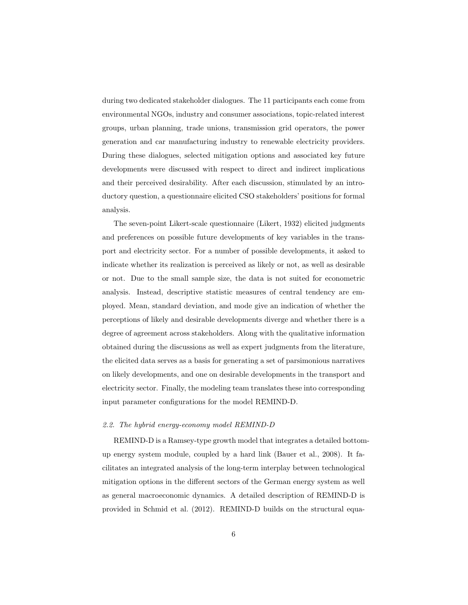during two dedicated stakeholder dialogues. The 11 participants each come from environmental NGOs, industry and consumer associations, topic-related interest groups, urban planning, trade unions, transmission grid operators, the power generation and car manufacturing industry to renewable electricity providers. During these dialogues, selected mitigation options and associated key future developments were discussed with respect to direct and indirect implications and their perceived desirability. After each discussion, stimulated by an introductory question, a questionnaire elicited CSO stakeholders' positions for formal analysis.

The seven-point Likert-scale questionnaire (Likert, 1932) elicited judgments and preferences on possible future developments of key variables in the transport and electricity sector. For a number of possible developments, it asked to indicate whether its realization is perceived as likely or not, as well as desirable or not. Due to the small sample size, the data is not suited for econometric analysis. Instead, descriptive statistic measures of central tendency are employed. Mean, standard deviation, and mode give an indication of whether the perceptions of likely and desirable developments diverge and whether there is a degree of agreement across stakeholders. Along with the qualitative information obtained during the discussions as well as expert judgments from the literature, the elicited data serves as a basis for generating a set of parsimonious narratives on likely developments, and one on desirable developments in the transport and electricity sector. Finally, the modeling team translates these into corresponding input parameter configurations for the model REMIND-D.

#### 2.2. The hybrid energy-economy model REMIND-D

REMIND-D is a Ramsey-type growth model that integrates a detailed bottomup energy system module, coupled by a hard link (Bauer et al., 2008). It facilitates an integrated analysis of the long-term interplay between technological mitigation options in the different sectors of the German energy system as well as general macroeconomic dynamics. A detailed description of REMIND-D is provided in Schmid et al. (2012). REMIND-D builds on the structural equa-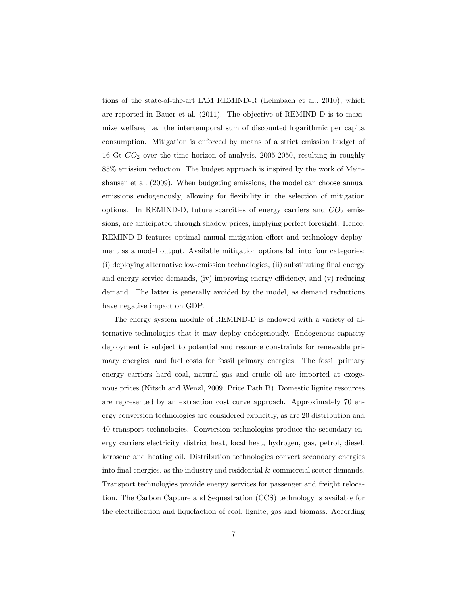tions of the state-of-the-art IAM REMIND-R (Leimbach et al., 2010), which are reported in Bauer et al. (2011). The objective of REMIND-D is to maximize welfare, i.e. the intertemporal sum of discounted logarithmic per capita consumption. Mitigation is enforced by means of a strict emission budget of 16 Gt  $CO<sub>2</sub>$  over the time horizon of analysis, 2005-2050, resulting in roughly 85% emission reduction. The budget approach is inspired by the work of Meinshausen et al. (2009). When budgeting emissions, the model can choose annual emissions endogenously, allowing for flexibility in the selection of mitigation options. In REMIND-D, future scarcities of energy carriers and  $CO<sub>2</sub>$  emissions, are anticipated through shadow prices, implying perfect foresight. Hence, REMIND-D features optimal annual mitigation effort and technology deployment as a model output. Available mitigation options fall into four categories: (i) deploying alternative low-emission technologies, (ii) substituting final energy and energy service demands, (iv) improving energy efficiency, and (v) reducing demand. The latter is generally avoided by the model, as demand reductions have negative impact on GDP.

The energy system module of REMIND-D is endowed with a variety of alternative technologies that it may deploy endogenously. Endogenous capacity deployment is subject to potential and resource constraints for renewable primary energies, and fuel costs for fossil primary energies. The fossil primary energy carriers hard coal, natural gas and crude oil are imported at exogenous prices (Nitsch and Wenzl, 2009, Price Path B). Domestic lignite resources are represented by an extraction cost curve approach. Approximately 70 energy conversion technologies are considered explicitly, as are 20 distribution and 40 transport technologies. Conversion technologies produce the secondary energy carriers electricity, district heat, local heat, hydrogen, gas, petrol, diesel, kerosene and heating oil. Distribution technologies convert secondary energies into final energies, as the industry and residential & commercial sector demands. Transport technologies provide energy services for passenger and freight relocation. The Carbon Capture and Sequestration (CCS) technology is available for the electrification and liquefaction of coal, lignite, gas and biomass. According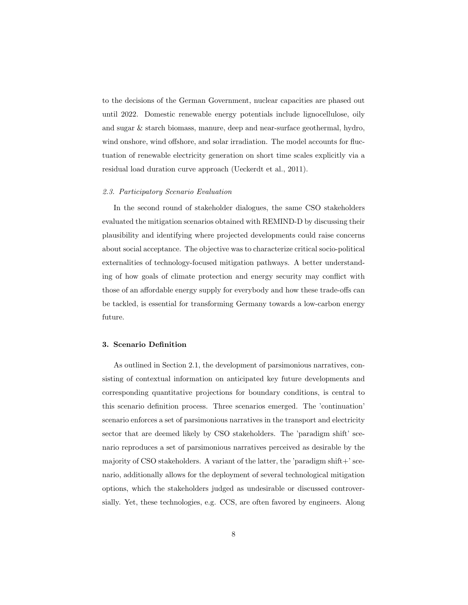to the decisions of the German Government, nuclear capacities are phased out until 2022. Domestic renewable energy potentials include lignocellulose, oily and sugar & starch biomass, manure, deep and near-surface geothermal, hydro, wind onshore, wind offshore, and solar irradiation. The model accounts for fluctuation of renewable electricity generation on short time scales explicitly via a residual load duration curve approach (Ueckerdt et al., 2011).

### 2.3. Participatory Scenario Evaluation

In the second round of stakeholder dialogues, the same CSO stakeholders evaluated the mitigation scenarios obtained with REMIND-D by discussing their plausibility and identifying where projected developments could raise concerns about social acceptance. The objective was to characterize critical socio-political externalities of technology-focused mitigation pathways. A better understanding of how goals of climate protection and energy security may conflict with those of an affordable energy supply for everybody and how these trade-offs can be tackled, is essential for transforming Germany towards a low-carbon energy future.

# 3. Scenario Definition

As outlined in Section 2.1, the development of parsimonious narratives, consisting of contextual information on anticipated key future developments and corresponding quantitative projections for boundary conditions, is central to this scenario definition process. Three scenarios emerged. The 'continuation' scenario enforces a set of parsimonious narratives in the transport and electricity sector that are deemed likely by CSO stakeholders. The 'paradigm shift' scenario reproduces a set of parsimonious narratives perceived as desirable by the majority of CSO stakeholders. A variant of the latter, the 'paradigm shift+' scenario, additionally allows for the deployment of several technological mitigation options, which the stakeholders judged as undesirable or discussed controversially. Yet, these technologies, e.g. CCS, are often favored by engineers. Along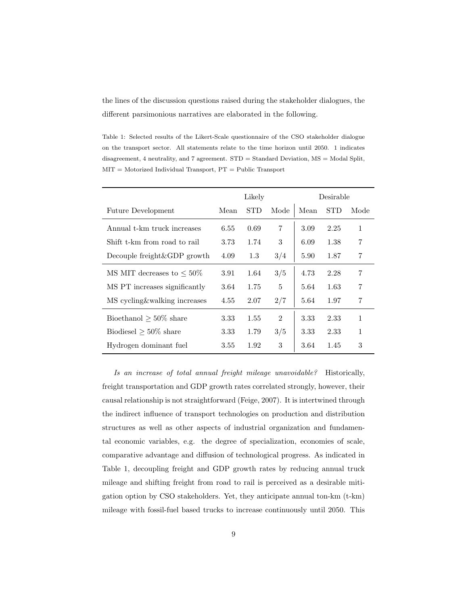the lines of the discussion questions raised during the stakeholder dialogues, the different parsimonious narratives are elaborated in the following.

Table 1: Selected results of the Likert-Scale questionnaire of the CSO stakeholder dialogue on the transport sector. All statements relate to the time horizon until 2050. 1 indicates disagreement, 4 neutrality, and 7 agreement. STD = Standard Deviation, MS = Modal Split,  $MIT = Motorized Individual Transport, PT = Public Transport$ 

|                                 | Likely |            |                | Desirable |            |              |
|---------------------------------|--------|------------|----------------|-----------|------------|--------------|
| <b>Future Development</b>       | Mean   | <b>STD</b> | Mode           | Mean      | <b>STD</b> | Mode         |
| Annual t-km truck increases     | 6.55   | 0.69       | 7              | 3.09      | 2.25       | $\mathbf{1}$ |
| Shift t-km from road to rail    | 3.73   | 1.74       | 3              | 6.09      | 1.38       | 7            |
| Decouple freight & GDP growth   | 4.09   | 1.3        | 3/4            | 5.90      | 1.87       | 7            |
| MS MIT decreases to $\leq 50\%$ | 3.91   | 1.64       | 3/5            | 4.73      | 2.28       | 7            |
| MS PT increases significantly   | 3.64   | 1.75       | 5              | 5.64      | 1.63       | 7            |
| MS cycling & walking increases  | 4.55   | 2.07       | 2/7            | 5.64      | 1.97       | 7            |
| Bioethanol $>50\%$ share        | 3.33   | 1.55       | $\mathfrak{D}$ | 3.33      | 2.33       | $\mathbf{1}$ |
| Biodiesel $\geq 50\%$ share     | 3.33   | 1.79       | 3/5            | 3.33      | 2.33       | 1            |
| Hydrogen dominant fuel          | 3.55   | 1.92       | 3              | 3.64      | 1.45       | 3            |

Is an increase of total annual freight mileage unavoidable? Historically, freight transportation and GDP growth rates correlated strongly, however, their causal relationship is not straightforward (Feige, 2007). It is intertwined through the indirect influence of transport technologies on production and distribution structures as well as other aspects of industrial organization and fundamental economic variables, e.g. the degree of specialization, economies of scale, comparative advantage and diffusion of technological progress. As indicated in Table 1, decoupling freight and GDP growth rates by reducing annual truck mileage and shifting freight from road to rail is perceived as a desirable mitigation option by CSO stakeholders. Yet, they anticipate annual ton-km (t-km) mileage with fossil-fuel based trucks to increase continuously until 2050. This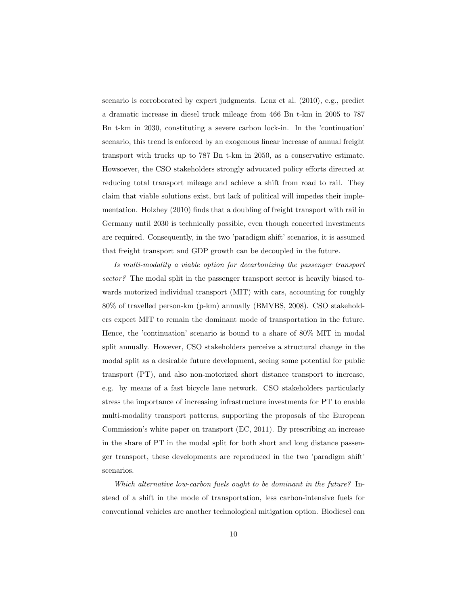scenario is corroborated by expert judgments. Lenz et al. (2010), e.g., predict a dramatic increase in diesel truck mileage from 466 Bn t-km in 2005 to 787 Bn t-km in 2030, constituting a severe carbon lock-in. In the 'continuation' scenario, this trend is enforced by an exogenous linear increase of annual freight transport with trucks up to 787 Bn t-km in 2050, as a conservative estimate. Howsoever, the CSO stakeholders strongly advocated policy efforts directed at reducing total transport mileage and achieve a shift from road to rail. They claim that viable solutions exist, but lack of political will impedes their implementation. Holzhey (2010) finds that a doubling of freight transport with rail in Germany until 2030 is technically possible, even though concerted investments are required. Consequently, in the two 'paradigm shift' scenarios, it is assumed that freight transport and GDP growth can be decoupled in the future.

Is multi-modality a viable option for decarbonizing the passenger transport sector? The modal split in the passenger transport sector is heavily biased towards motorized individual transport (MIT) with cars, accounting for roughly 80% of travelled person-km (p-km) annually (BMVBS, 2008). CSO stakeholders expect MIT to remain the dominant mode of transportation in the future. Hence, the 'continuation' scenario is bound to a share of 80% MIT in modal split annually. However, CSO stakeholders perceive a structural change in the modal split as a desirable future development, seeing some potential for public transport (PT), and also non-motorized short distance transport to increase, e.g. by means of a fast bicycle lane network. CSO stakeholders particularly stress the importance of increasing infrastructure investments for PT to enable multi-modality transport patterns, supporting the proposals of the European Commission's white paper on transport (EC, 2011). By prescribing an increase in the share of PT in the modal split for both short and long distance passenger transport, these developments are reproduced in the two 'paradigm shift' scenarios.

Which alternative low-carbon fuels ought to be dominant in the future? Instead of a shift in the mode of transportation, less carbon-intensive fuels for conventional vehicles are another technological mitigation option. Biodiesel can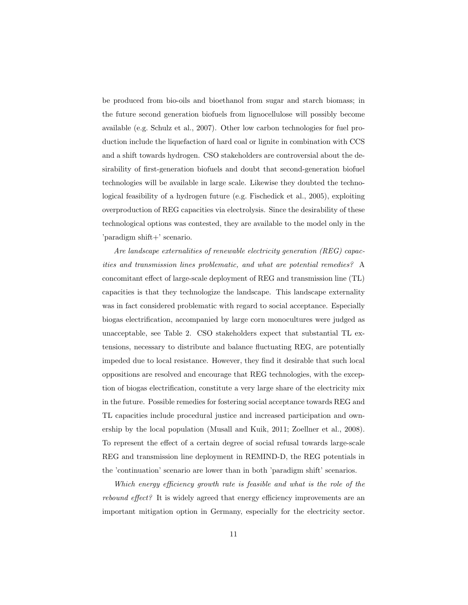be produced from bio-oils and bioethanol from sugar and starch biomass; in the future second generation biofuels from lignocellulose will possibly become available (e.g. Schulz et al., 2007). Other low carbon technologies for fuel production include the liquefaction of hard coal or lignite in combination with CCS and a shift towards hydrogen. CSO stakeholders are controversial about the desirability of first-generation biofuels and doubt that second-generation biofuel technologies will be available in large scale. Likewise they doubted the technological feasibility of a hydrogen future (e.g. Fischedick et al., 2005), exploiting overproduction of REG capacities via electrolysis. Since the desirability of these technological options was contested, they are available to the model only in the 'paradigm shift+' scenario.

Are landscape externalities of renewable electricity generation (REG) capacities and transmission lines problematic, and what are potential remedies? A concomitant effect of large-scale deployment of REG and transmission line (TL) capacities is that they technologize the landscape. This landscape externality was in fact considered problematic with regard to social acceptance. Especially biogas electrification, accompanied by large corn monocultures were judged as unacceptable, see Table 2. CSO stakeholders expect that substantial TL extensions, necessary to distribute and balance fluctuating REG, are potentially impeded due to local resistance. However, they find it desirable that such local oppositions are resolved and encourage that REG technologies, with the exception of biogas electrification, constitute a very large share of the electricity mix in the future. Possible remedies for fostering social acceptance towards REG and TL capacities include procedural justice and increased participation and ownership by the local population (Musall and Kuik, 2011; Zoellner et al., 2008). To represent the effect of a certain degree of social refusal towards large-scale REG and transmission line deployment in REMIND-D, the REG potentials in the 'continuation' scenario are lower than in both 'paradigm shift' scenarios.

Which energy efficiency growth rate is feasible and what is the role of the rebound effect? It is widely agreed that energy efficiency improvements are an important mitigation option in Germany, especially for the electricity sector.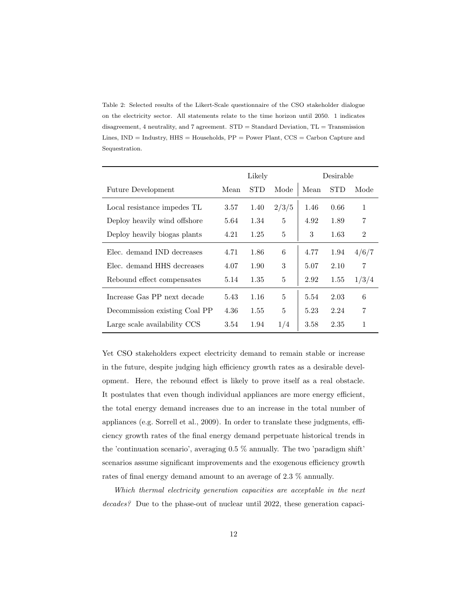Table 2: Selected results of the Likert-Scale questionnaire of the CSO stakeholder dialogue on the electricity sector. All statements relate to the time horizon until 2050. 1 indicates disagreement, 4 neutrality, and 7 agreement. STD = Standard Deviation, TL = Transmission Lines,  $IND = Industry$ ,  $HHS = Households$ ,  $PP = Power$  Plant,  $CCS = Carbon$  Capture and Sequestration.

|                               | Likely |            |       | Desirable |      |                |
|-------------------------------|--------|------------|-------|-----------|------|----------------|
| <b>Future Development</b>     | Mean   | <b>STD</b> | Mode  | Mean      | STD  | Mode           |
| Local resistance impedes TL   | 3.57   | 1.40       | 2/3/5 | 1.46      | 0.66 | $\mathbf{1}$   |
| Deploy heavily wind offshore  | 5.64   | 1.34       | 5     | 4.92      | 1.89 | 7              |
| Deploy heavily biogas plants  | 4.21   | 1.25       | 5     | 3         | 1.63 | $\overline{2}$ |
| Elec. demand IND decreases    | 4.71   | 1.86       | 6     | 4.77      | 1.94 | 4/6/7          |
| Elec. demand HHS decreases    | 4.07   | 1.90       | 3     | 5.07      | 2.10 | 7              |
| Rebound effect compensates    | 5.14   | 1.35       | 5     | 2.92      | 1.55 | 1/3/4          |
| Increase Gas PP next decade   | 5.43   | 1.16       | 5     | 5.54      | 2.03 | 6              |
| Decommission existing Coal PP | 4.36   | 1.55       | 5     | 5.23      | 2.24 | 7              |
| Large scale availability CCS  | 3.54   | 1.94       | 1/4   | 3.58      | 2.35 | 1              |

Yet CSO stakeholders expect electricity demand to remain stable or increase in the future, despite judging high efficiency growth rates as a desirable development. Here, the rebound effect is likely to prove itself as a real obstacle. It postulates that even though individual appliances are more energy efficient, the total energy demand increases due to an increase in the total number of appliances (e.g. Sorrell et al., 2009). In order to translate these judgments, efficiency growth rates of the final energy demand perpetuate historical trends in the 'continuation scenario', averaging 0.5 % annually. The two 'paradigm shift' scenarios assume significant improvements and the exogenous efficiency growth rates of final energy demand amount to an average of 2.3 % annually.

Which thermal electricity generation capacities are acceptable in the next decades? Due to the phase-out of nuclear until 2022, these generation capaci-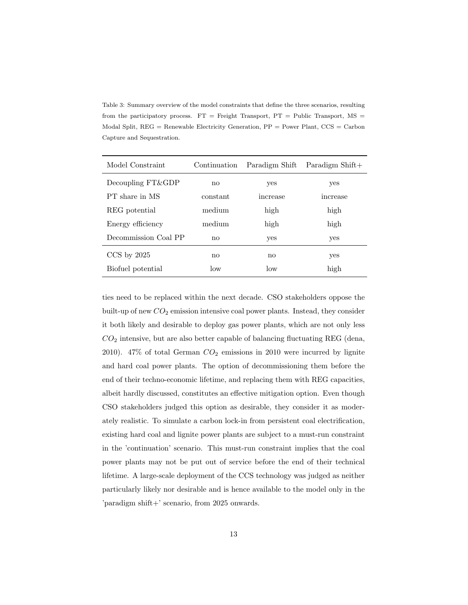Table 3: Summary overview of the model constraints that define the three scenarios, resulting from the participatory process.  $FT =$  Freight Transport,  $PT =$  Public Transport,  $MS =$ Modal Split, REG = Renewable Electricity Generation, PP = Power Plant, CCS = Carbon Capture and Sequestration.

| Model Constraint     | Continuation | Paradigm Shift | Paradigm $Shift+$ |
|----------------------|--------------|----------------|-------------------|
| Decoupling FT&GDP    | no           | yes            | yes               |
| PT share in MS       | constant     | increase       | mcrease           |
| REG potential        | medium       | high           | high              |
| Energy efficiency    | medium       | high           | high              |
| Decommission Coal PP | no           | yes            | yes               |
| $CCS$ by $2025$      | no           | no             | yes               |
| Biofuel potential    | low          | $\log$         | high              |

ties need to be replaced within the next decade. CSO stakeholders oppose the built-up of new  $CO_2$  emission intensive coal power plants. Instead, they consider it both likely and desirable to deploy gas power plants, which are not only less  $CO<sub>2</sub>$  intensive, but are also better capable of balancing fluctuating REG (dena, 2010). 47% of total German  $CO<sub>2</sub>$  emissions in 2010 were incurred by lignite and hard coal power plants. The option of decommissioning them before the end of their techno-economic lifetime, and replacing them with REG capacities, albeit hardly discussed, constitutes an effective mitigation option. Even though CSO stakeholders judged this option as desirable, they consider it as moderately realistic. To simulate a carbon lock-in from persistent coal electrification, existing hard coal and lignite power plants are subject to a must-run constraint in the 'continuation' scenario. This must-run constraint implies that the coal power plants may not be put out of service before the end of their technical lifetime. A large-scale deployment of the CCS technology was judged as neither particularly likely nor desirable and is hence available to the model only in the 'paradigm shift+' scenario, from 2025 onwards.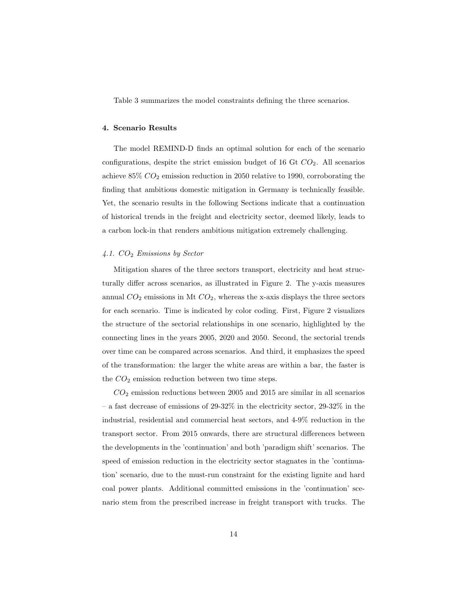Table 3 summarizes the model constraints defining the three scenarios.

#### 4. Scenario Results

The model REMIND-D finds an optimal solution for each of the scenario configurations, despite the strict emission budget of 16 Gt  $CO<sub>2</sub>$ . All scenarios achieve 85%  $CO<sub>2</sub>$  emission reduction in 2050 relative to 1990, corroborating the finding that ambitious domestic mitigation in Germany is technically feasible. Yet, the scenario results in the following Sections indicate that a continuation of historical trends in the freight and electricity sector, deemed likely, leads to a carbon lock-in that renders ambitious mitigation extremely challenging.

#### 4.1.  $CO<sub>2</sub>$  Emissions by Sector

Mitigation shares of the three sectors transport, electricity and heat structurally differ across scenarios, as illustrated in Figure 2. The y-axis measures annual  $CO_2$  emissions in Mt  $CO_2$ , whereas the x-axis displays the three sectors for each scenario. Time is indicated by color coding. First, Figure 2 visualizes the structure of the sectorial relationships in one scenario, highlighted by the connecting lines in the years 2005, 2020 and 2050. Second, the sectorial trends over time can be compared across scenarios. And third, it emphasizes the speed of the transformation: the larger the white areas are within a bar, the faster is the  $CO<sub>2</sub>$  emission reduction between two time steps.

 $CO<sub>2</sub>$  emission reductions between 2005 and 2015 are similar in all scenarios – a fast decrease of emissions of 29-32% in the electricity sector, 29-32% in the industrial, residential and commercial heat sectors, and 4-9% reduction in the transport sector. From 2015 onwards, there are structural differences between the developments in the 'continuation' and both 'paradigm shift' scenarios. The speed of emission reduction in the electricity sector stagnates in the 'continuation' scenario, due to the must-run constraint for the existing lignite and hard coal power plants. Additional committed emissions in the 'continuation' scenario stem from the prescribed increase in freight transport with trucks. The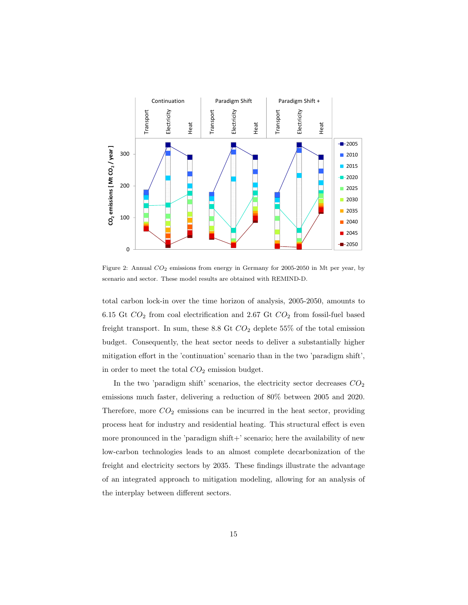

Figure 2: Annual  $CO_2$  emissions from energy in Germany for 2005-2050 in Mt per year, by scenario and sector. These model results are obtained with REMIND-D.

total carbon lock-in over the time horizon of analysis, 2005-2050, amounts to  $6.15$  Gt  $CO_2$  from coal electrification and  $2.67$  Gt  $CO_2$  from fossil-fuel based freight transport. In sum, these 8.8 Gt  $CO<sub>2</sub>$  deplete 55% of the total emission budget. Consequently, the heat sector needs to deliver a substantially higher mitigation effort in the 'continuation' scenario than in the two 'paradigm shift', in order to meet the total  $CO<sub>2</sub>$  emission budget.

In the two 'paradigm shift' scenarios, the electricity sector decreases  $CO<sub>2</sub>$ emissions much faster, delivering a reduction of 80% between 2005 and 2020. Therefore, more  $CO<sub>2</sub>$  emissions can be incurred in the heat sector, providing process heat for industry and residential heating. This structural effect is even more pronounced in the 'paradigm  $\text{shift}+$ ' scenario; here the availability of new low-carbon technologies leads to an almost complete decarbonization of the freight and electricity sectors by 2035. These findings illustrate the advantage of an integrated approach to mitigation modeling, allowing for an analysis of the interplay between different sectors.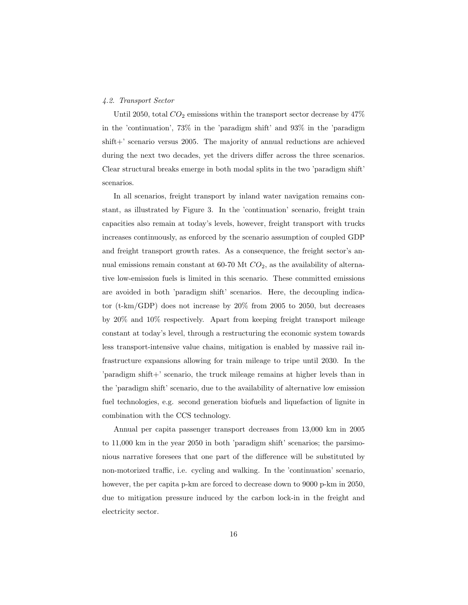# 4.2. Transport Sector

Until 2050, total  $CO_2$  emissions within the transport sector decrease by 47% in the 'continuation', 73% in the 'paradigm shift' and 93% in the 'paradigm shift+' scenario versus 2005. The majority of annual reductions are achieved during the next two decades, yet the drivers differ across the three scenarios. Clear structural breaks emerge in both modal splits in the two 'paradigm shift' scenarios.

In all scenarios, freight transport by inland water navigation remains constant, as illustrated by Figure 3. In the 'continuation' scenario, freight train capacities also remain at today's levels, however, freight transport with trucks increases continuously, as enforced by the scenario assumption of coupled GDP and freight transport growth rates. As a consequence, the freight sector's annual emissions remain constant at 60-70 Mt  $CO<sub>2</sub>$ , as the availability of alternative low-emission fuels is limited in this scenario. These committed emissions are avoided in both 'paradigm shift' scenarios. Here, the decoupling indicator (t-km/GDP) does not increase by  $20\%$  from 2005 to 2050, but decreases by 20% and 10% respectively. Apart from keeping freight transport mileage constant at today's level, through a restructuring the economic system towards less transport-intensive value chains, mitigation is enabled by massive rail infrastructure expansions allowing for train mileage to tripe until 2030. In the 'paradigm shift+' scenario, the truck mileage remains at higher levels than in the 'paradigm shift' scenario, due to the availability of alternative low emission fuel technologies, e.g. second generation biofuels and liquefaction of lignite in combination with the CCS technology.

Annual per capita passenger transport decreases from 13,000 km in 2005 to 11,000 km in the year 2050 in both 'paradigm shift' scenarios; the parsimonious narrative foresees that one part of the difference will be substituted by non-motorized traffic, i.e. cycling and walking. In the 'continuation' scenario, however, the per capita p-km are forced to decrease down to 9000 p-km in 2050, due to mitigation pressure induced by the carbon lock-in in the freight and electricity sector.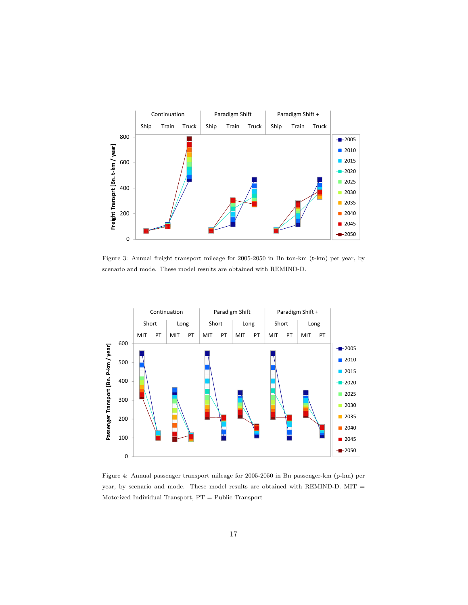

Figure 3: Annual freight transport mileage for 2005-2050 in Bn ton-km (t-km) per year, by scenario and mode. These model results are obtained with REMIND-D.



Figure 4: Annual passenger transport mileage for 2005-2050 in Bn passenger-km (p-km) per year, by scenario and mode. These model results are obtained with REMIND-D. MIT = Motorized Individual Transport, PT = Public Transport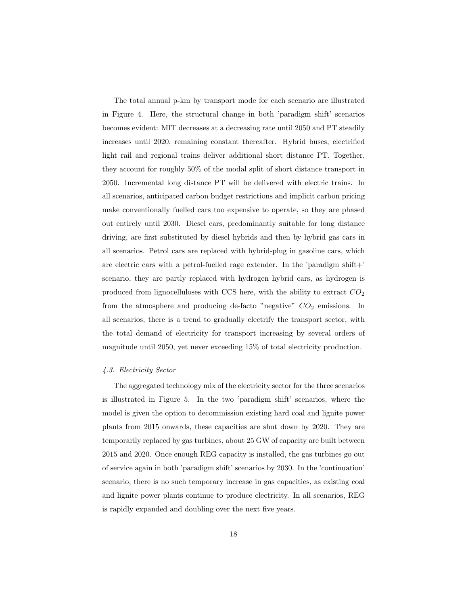The total annual p-km by transport mode for each scenario are illustrated in Figure 4. Here, the structural change in both 'paradigm shift' scenarios becomes evident: MIT decreases at a decreasing rate until 2050 and PT steadily increases until 2020, remaining constant thereafter. Hybrid buses, electrified light rail and regional trains deliver additional short distance PT. Together, they account for roughly 50% of the modal split of short distance transport in 2050. Incremental long distance PT will be delivered with electric trains. In all scenarios, anticipated carbon budget restrictions and implicit carbon pricing make conventionally fuelled cars too expensive to operate, so they are phased out entirely until 2030. Diesel cars, predominantly suitable for long distance driving, are first substituted by diesel hybrids and then by hybrid gas cars in all scenarios. Petrol cars are replaced with hybrid-plug in gasoline cars, which are electric cars with a petrol-fuelled rage extender. In the 'paradigm shift+' scenario, they are partly replaced with hydrogen hybrid cars, as hydrogen is produced from lignocelluloses with CCS here, with the ability to extract  $CO<sub>2</sub>$ from the atmosphere and producing de-facto "negative"  $CO<sub>2</sub>$  emissions. In all scenarios, there is a trend to gradually electrify the transport sector, with the total demand of electricity for transport increasing by several orders of magnitude until 2050, yet never exceeding 15% of total electricity production.

# 4.3. Electricity Sector

The aggregated technology mix of the electricity sector for the three scenarios is illustrated in Figure 5. In the two 'paradigm shift' scenarios, where the model is given the option to decommission existing hard coal and lignite power plants from 2015 onwards, these capacities are shut down by 2020. They are temporarily replaced by gas turbines, about 25 GW of capacity are built between 2015 and 2020. Once enough REG capacity is installed, the gas turbines go out of service again in both 'paradigm shift' scenarios by 2030. In the 'continuation' scenario, there is no such temporary increase in gas capacities, as existing coal and lignite power plants continue to produce electricity. In all scenarios, REG is rapidly expanded and doubling over the next five years.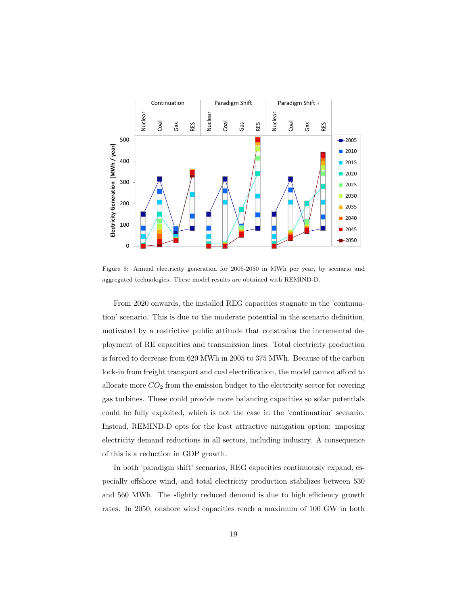

Figure 5: Annual electricity generation for 2005-2050 in MWh per year, by scenario and aggregated technologies. These model results are obtained with REMIND-D.

From 2020 onwards, the installed REG capacities stagnate in the 'continuation' scenario. This is due to the moderate potential in the scenario definition, motivated by a restrictive public attitude that constrains the incremental deployment of RE capacities and transmission lines. Total electricity production is forced to decrease from 620 MWh in 2005 to 375 MWh. Because of the carbon lock-in from freight transport and coal electrification, the model cannot afford to allocate more  $CO<sub>2</sub>$  from the emission budget to the electricity sector for covering gas turbines. These could provide more balancing capacities so solar potentials could be fully exploited, which is not the case in the 'continuation' scenario. Instead, REMIND-D opts for the least attractive mitigation option: imposing electricity demand reductions in all sectors, including industry. A consequence of this is a reduction in GDP growth.

In both 'paradigm shift' scenarios, REG capacities continuously expand, especially offshore wind, and total electricity production stabilizes between 530 and 560 MWh. The slightly reduced demand is due to high efficiency growth rates. In 2050, onshore wind capacities reach a maximum of 100 GW in both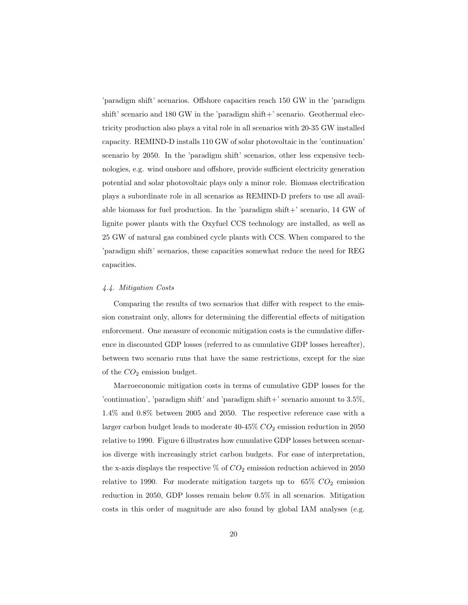'paradigm shift' scenarios. Offshore capacities reach 150 GW in the 'paradigm shift' scenario and  $180$  GW in the 'paradigm shift+' scenario. Geothermal electricity production also plays a vital role in all scenarios with 20-35 GW installed capacity. REMIND-D installs 110 GW of solar photovoltaic in the 'continuation' scenario by 2050. In the 'paradigm shift' scenarios, other less expensive technologies, e.g. wind onshore and offshore, provide sufficient electricity generation potential and solar photovoltaic plays only a minor role. Biomass electrification plays a subordinate role in all scenarios as REMIND-D prefers to use all available biomass for fuel production. In the 'paradigm shift+' scenario,  $14$  GW of lignite power plants with the Oxyfuel CCS technology are installed, as well as 25 GW of natural gas combined cycle plants with CCS. When compared to the 'paradigm shift' scenarios, these capacities somewhat reduce the need for REG capacities.

#### 4.4. Mitigation Costs

Comparing the results of two scenarios that differ with respect to the emission constraint only, allows for determining the differential effects of mitigation enforcement. One measure of economic mitigation costs is the cumulative difference in discounted GDP losses (referred to as cumulative GDP losses hereafter), between two scenario runs that have the same restrictions, except for the size of the  $CO<sub>2</sub>$  emission budget.

Macroeconomic mitigation costs in terms of cumulative GDP losses for the 'continuation', 'paradigm shift' and 'paradigm shift+' scenario amount to  $3.5\%$ , 1.4% and 0.8% between 2005 and 2050. The respective reference case with a larger carbon budget leads to moderate  $40-45\%$   $CO<sub>2</sub>$  emission reduction in 2050 relative to 1990. Figure 6 illustrates how cumulative GDP losses between scenarios diverge with increasingly strict carbon budgets. For ease of interpretation, the x-axis displays the respective  $\%$  of  $CO<sub>2</sub>$  emission reduction achieved in 2050 relative to 1990. For moderate mitigation targets up to  $65\%$   $CO<sub>2</sub>$  emission reduction in 2050, GDP losses remain below 0.5% in all scenarios. Mitigation costs in this order of magnitude are also found by global IAM analyses (e.g.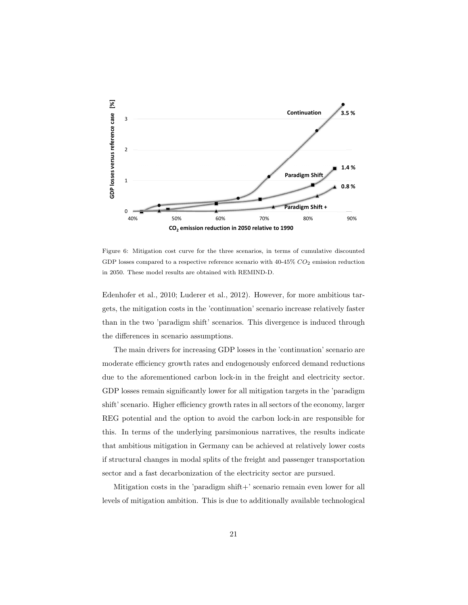

Figure 6: Mitigation cost curve for the three scenarios, in terms of cumulative discounted GDP losses compared to a respective reference scenario with  $40-45\%$   $CO_2$  emission reduction in 2050. These model results are obtained with REMIND-D.

Edenhofer et al., 2010; Luderer et al., 2012). However, for more ambitious targets, the mitigation costs in the 'continuation' scenario increase relatively faster than in the two 'paradigm shift' scenarios. This divergence is induced through the differences in scenario assumptions.

The main drivers for increasing GDP losses in the 'continuation' scenario are moderate efficiency growth rates and endogenously enforced demand reductions due to the aforementioned carbon lock-in in the freight and electricity sector. GDP losses remain significantly lower for all mitigation targets in the 'paradigm shift' scenario. Higher efficiency growth rates in all sectors of the economy, larger REG potential and the option to avoid the carbon lock-in are responsible for this. In terms of the underlying parsimonious narratives, the results indicate that ambitious mitigation in Germany can be achieved at relatively lower costs if structural changes in modal splits of the freight and passenger transportation sector and a fast decarbonization of the electricity sector are pursued.

Mitigation costs in the 'paradigm shift+' scenario remain even lower for all levels of mitigation ambition. This is due to additionally available technological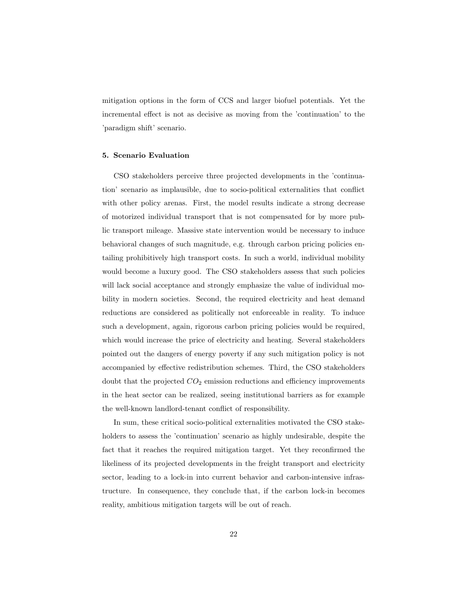mitigation options in the form of CCS and larger biofuel potentials. Yet the incremental effect is not as decisive as moving from the 'continuation' to the 'paradigm shift' scenario.

# 5. Scenario Evaluation

CSO stakeholders perceive three projected developments in the 'continuation' scenario as implausible, due to socio-political externalities that conflict with other policy arenas. First, the model results indicate a strong decrease of motorized individual transport that is not compensated for by more public transport mileage. Massive state intervention would be necessary to induce behavioral changes of such magnitude, e.g. through carbon pricing policies entailing prohibitively high transport costs. In such a world, individual mobility would become a luxury good. The CSO stakeholders assess that such policies will lack social acceptance and strongly emphasize the value of individual mobility in modern societies. Second, the required electricity and heat demand reductions are considered as politically not enforceable in reality. To induce such a development, again, rigorous carbon pricing policies would be required, which would increase the price of electricity and heating. Several stakeholders pointed out the dangers of energy poverty if any such mitigation policy is not accompanied by effective redistribution schemes. Third, the CSO stakeholders doubt that the projected  $CO<sub>2</sub>$  emission reductions and efficiency improvements in the heat sector can be realized, seeing institutional barriers as for example the well-known landlord-tenant conflict of responsibility.

In sum, these critical socio-political externalities motivated the CSO stakeholders to assess the 'continuation' scenario as highly undesirable, despite the fact that it reaches the required mitigation target. Yet they reconfirmed the likeliness of its projected developments in the freight transport and electricity sector, leading to a lock-in into current behavior and carbon-intensive infrastructure. In consequence, they conclude that, if the carbon lock-in becomes reality, ambitious mitigation targets will be out of reach.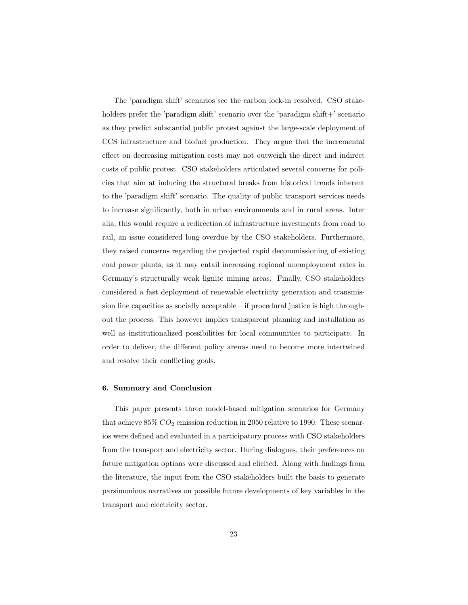The 'paradigm shift' scenarios see the carbon lock-in resolved. CSO stakeholders prefer the 'paradigm shift' scenario over the 'paradigm shift+' scenario as they predict substantial public protest against the large-scale deployment of CCS infrastructure and biofuel production. They argue that the incremental effect on decreasing mitigation costs may not outweigh the direct and indirect costs of public protest. CSO stakeholders articulated several concerns for policies that aim at inducing the structural breaks from historical trends inherent to the 'paradigm shift' scenario. The quality of public transport services needs to increase significantly, both in urban environments and in rural areas. Inter alia, this would require a redirection of infrastructure investments from road to rail, an issue considered long overdue by the CSO stakeholders. Furthermore, they raised concerns regarding the projected rapid decommissioning of existing coal power plants, as it may entail increasing regional unemployment rates in Germany's structurally weak lignite mining areas. Finally, CSO stakeholders considered a fast deployment of renewable electricity generation and transmission line capacities as socially acceptable – if procedural justice is high throughout the process. This however implies transparent planning and installation as well as institutionalized possibilities for local communities to participate. In order to deliver, the different policy arenas need to become more intertwined and resolve their conflicting goals.

#### 6. Summary and Conclusion

This paper presents three model-based mitigation scenarios for Germany that achieve  $85\%$   $CO_2$  emission reduction in 2050 relative to 1990. These scenarios were defined and evaluated in a participatory process with CSO stakeholders from the transport and electricity sector. During dialogues, their preferences on future mitigation options were discussed and elicited. Along with findings from the literature, the input from the CSO stakeholders built the basis to generate parsimonious narratives on possible future developments of key variables in the transport and electricity sector.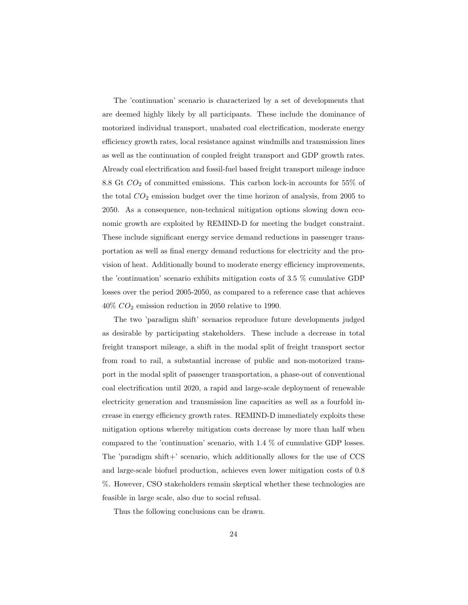The 'continuation' scenario is characterized by a set of developments that are deemed highly likely by all participants. These include the dominance of motorized individual transport, unabated coal electrification, moderate energy efficiency growth rates, local resistance against windmills and transmission lines as well as the continuation of coupled freight transport and GDP growth rates. Already coal electrification and fossil-fuel based freight transport mileage induce 8.8 Gt  $CO<sub>2</sub>$  of committed emissions. This carbon lock-in accounts for 55% of the total  $CO<sub>2</sub>$  emission budget over the time horizon of analysis, from 2005 to 2050. As a consequence, non-technical mitigation options slowing down economic growth are exploited by REMIND-D for meeting the budget constraint. These include significant energy service demand reductions in passenger transportation as well as final energy demand reductions for electricity and the provision of heat. Additionally bound to moderate energy efficiency improvements, the 'continuation' scenario exhibits mitigation costs of 3.5 % cumulative GDP losses over the period 2005-2050, as compared to a reference case that achieves  $40\%$   $CO_{2}$  emission reduction in 2050 relative to 1990.

The two 'paradigm shift' scenarios reproduce future developments judged as desirable by participating stakeholders. These include a decrease in total freight transport mileage, a shift in the modal split of freight transport sector from road to rail, a substantial increase of public and non-motorized transport in the modal split of passenger transportation, a phase-out of conventional coal electrification until 2020, a rapid and large-scale deployment of renewable electricity generation and transmission line capacities as well as a fourfold increase in energy efficiency growth rates. REMIND-D immediately exploits these mitigation options whereby mitigation costs decrease by more than half when compared to the 'continuation' scenario, with 1.4 % of cumulative GDP losses. The 'paradigm shift+' scenario, which additionally allows for the use of CCS and large-scale biofuel production, achieves even lower mitigation costs of 0.8 %. However, CSO stakeholders remain skeptical whether these technologies are feasible in large scale, also due to social refusal.

Thus the following conclusions can be drawn.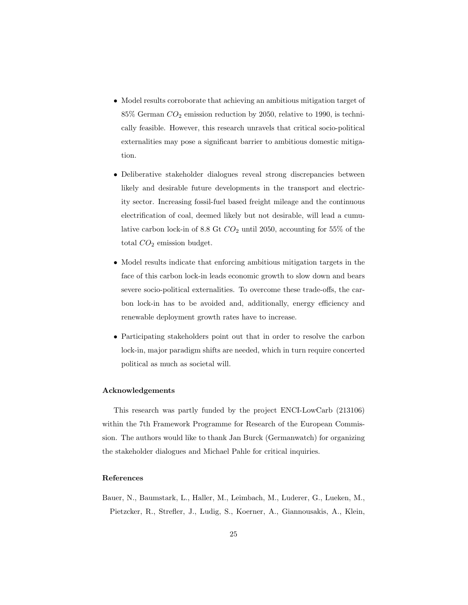- Model results corroborate that achieving an ambitious mitigation target of  $85\%$  German  $CO<sub>2</sub>$  emission reduction by 2050, relative to 1990, is technically feasible. However, this research unravels that critical socio-political externalities may pose a significant barrier to ambitious domestic mitigation.
- Deliberative stakeholder dialogues reveal strong discrepancies between likely and desirable future developments in the transport and electricity sector. Increasing fossil-fuel based freight mileage and the continuous electrification of coal, deemed likely but not desirable, will lead a cumulative carbon lock-in of 8.8 Gt  $CO<sub>2</sub>$  until 2050, accounting for 55% of the total  $CO<sub>2</sub>$  emission budget.
- Model results indicate that enforcing ambitious mitigation targets in the face of this carbon lock-in leads economic growth to slow down and bears severe socio-political externalities. To overcome these trade-offs, the carbon lock-in has to be avoided and, additionally, energy efficiency and renewable deployment growth rates have to increase.
- Participating stakeholders point out that in order to resolve the carbon lock-in, major paradigm shifts are needed, which in turn require concerted political as much as societal will.

# Acknowledgements

This research was partly funded by the project ENCI-LowCarb (213106) within the 7th Framework Programme for Research of the European Commission. The authors would like to thank Jan Burck (Germanwatch) for organizing the stakeholder dialogues and Michael Pahle for critical inquiries.

# References

Bauer, N., Baumstark, L., Haller, M., Leimbach, M., Luderer, G., Lueken, M., Pietzcker, R., Strefler, J., Ludig, S., Koerner, A., Giannousakis, A., Klein,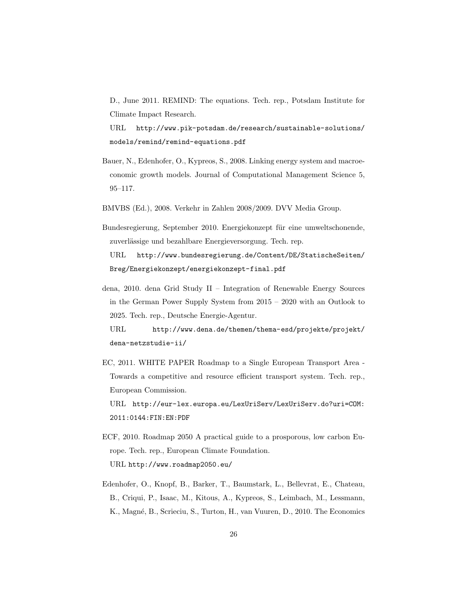D., June 2011. REMIND: The equations. Tech. rep., Potsdam Institute for Climate Impact Research.

URL http://www.pik-potsdam.de/research/sustainable-solutions/ models/remind/remind-equations.pdf

- Bauer, N., Edenhofer, O., Kypreos, S., 2008. Linking energy system and macroeconomic growth models. Journal of Computational Management Science 5, 95–117.
- BMVBS (Ed.), 2008. Verkehr in Zahlen 2008/2009. DVV Media Group.
- Bundesregierung, September 2010. Energiekonzept für eine umweltschonende, zuverlässige und bezahlbare Energieversorgung. Tech. rep. URL http://www.bundesregierung.de/Content/DE/StatischeSeiten/ Breg/Energiekonzept/energiekonzept-final.pdf
- dena, 2010. dena Grid Study II Integration of Renewable Energy Sources in the German Power Supply System from 2015 – 2020 with an Outlook to 2025. Tech. rep., Deutsche Energie-Agentur.

URL http://www.dena.de/themen/thema-esd/projekte/projekt/ dena-netzstudie-ii/

EC, 2011. WHITE PAPER Roadmap to a Single European Transport Area - Towards a competitive and resource efficient transport system. Tech. rep., European Commission.

URL http://eur-lex.europa.eu/LexUriServ/LexUriServ.do?uri=COM: 2011:0144:FIN:EN:PDF

- ECF, 2010. Roadmap 2050 A practical guide to a prosporous, low carbon Europe. Tech. rep., European Climate Foundation. URL http://www.roadmap2050.eu/
- Edenhofer, O., Knopf, B., Barker, T., Baumstark, L., Bellevrat, E., Chateau, B., Criqui, P., Isaac, M., Kitous, A., Kypreos, S., Leimbach, M., Lessmann, K., Magné, B., Scrieciu, S., Turton, H., van Vuuren, D., 2010. The Economics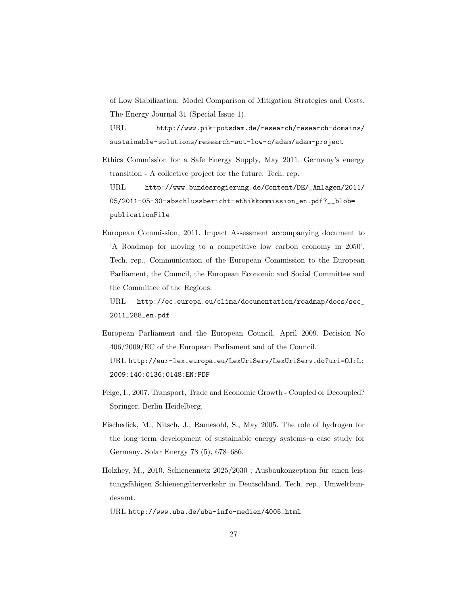of Low Stabilization: Model Comparison of Mitigation Strategies and Costs. The Energy Journal 31 (Special Issue 1).

URL http://www.pik-potsdam.de/research/research-domains/ sustainable-solutions/research-act-low-c/adam/adam-project

Ethics Commission for a Safe Energy Supply, May 2011. Germany's energy transition - A collective project for the future. Tech. rep.

URL http://www.bundesregierung.de/Content/DE/\_Anlagen/2011/ 05/2011-05-30-abschlussbericht-ethikkommission\_en.pdf?\_\_blob= publicationFile

European Commission, 2011. Impact Assessment accompanying document to 'A Roadmap for moving to a competitive low carbon economy in 2050'. Tech. rep., Communication of the European Commission to the European Parliament, the Council, the European Economic and Social Committee and the Committee of the Regions.

URL http://ec.europa.eu/clima/documentation/roadmap/docs/sec\_ 2011\_288\_en.pdf

- European Parliament and the European Council, April 2009. Decision No 406/2009/EC of the European Parliament and of the Council. URL http://eur-lex.europa.eu/LexUriServ/LexUriServ.do?uri=OJ:L: 2009:140:0136:0148:EN:PDF
- Feige, I., 2007. Transport, Trade and Economic Growth Coupled or Decoupled? Springer, Berlin Heidelberg.
- Fischedick, M., Nitsch, J., Ramesohl, S., May 2005. The role of hydrogen for the long term development of sustainable energy systems–a case study for Germany. Solar Energy 78 (5), 678–686.
- Holzhey, M., 2010. Schienennetz 2025/2030 ; Ausbaukonzeption für einen leistungsfähigen Schienengüterverkehr in Deutschland. Tech. rep., Umweltbundesamt.

URL http://www.uba.de/uba-info-medien/4005.html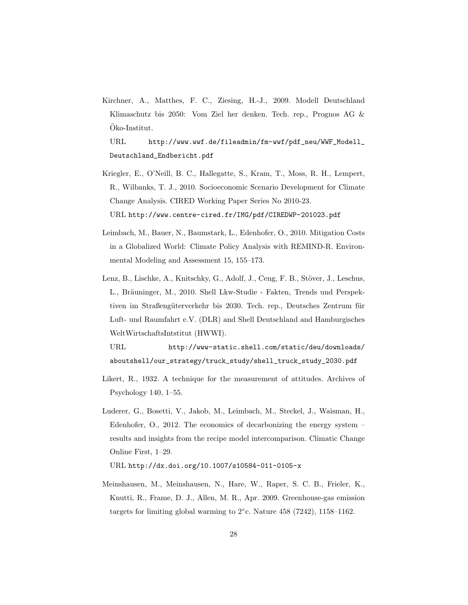Kirchner, A., Matthes, F. C., Ziesing, H.-J., 2009. Modell Deutschland Klimaschutz bis 2050: Vom Ziel her denken. Tech. rep., Prognos AG & Oko-Institut. ¨

URL http://www.wwf.de/fileadmin/fm-wwf/pdf\_neu/WWF\_Modell\_ Deutschland\_Endbericht.pdf

- Kriegler, E., O'Neill, B. C., Hallegatte, S., Kram, T., Moss, R. H., Lempert, R., Wilbanks, T. J., 2010. Socioeconomic Scenario Development for Climate Change Analysis. CIRED Working Paper Series No 2010-23. URL http://www.centre-cired.fr/IMG/pdf/CIREDWP-201023.pdf
- Leimbach, M., Bauer, N., Baumstark, L., Edenhofer, O., 2010. Mitigation Costs in a Globalized World: Climate Policy Analysis with REMIND-R. Environmental Modeling and Assessment 15, 155–173.
- Lenz, B., Lischke, A., Knitschky, G., Adolf, J., Ceng, F. B., Stöver, J., Leschus, L., Bräuninger, M., 2010. Shell Lkw-Studie - Fakten, Trends und Perspektiven im Straßengüterverkehr bis 2030. Tech. rep., Deutsches Zentrum für Luft- und Raumfahrt e.V. (DLR) and Shell Deutschland and Hamburgisches WeltWirtschaftsIntstitut (HWWI).

URL http://www-static.shell.com/static/deu/downloads/ aboutshell/our\_strategy/truck\_study/shell\_truck\_study\_2030.pdf

- Likert, R., 1932. A technique for the measurement of attitudes. Archives of Psychology 140, 1–55.
- Luderer, G., Bosetti, V., Jakob, M., Leimbach, M., Steckel, J., Waisman, H., Edenhofer, O., 2012. The economics of decarbonizing the energy system – results and insights from the recipe model intercomparison. Climatic Change Online First, 1–29.

URL http://dx.doi.org/10.1007/s10584-011-0105-x

Meinshausen, M., Meinshausen, N., Hare, W., Raper, S. C. B., Frieler, K., Knutti, R., Frame, D. J., Allen, M. R., Apr. 2009. Greenhouse-gas emission targets for limiting global warming to  $2^\circ$ c. Nature 458 (7242), 1158–1162.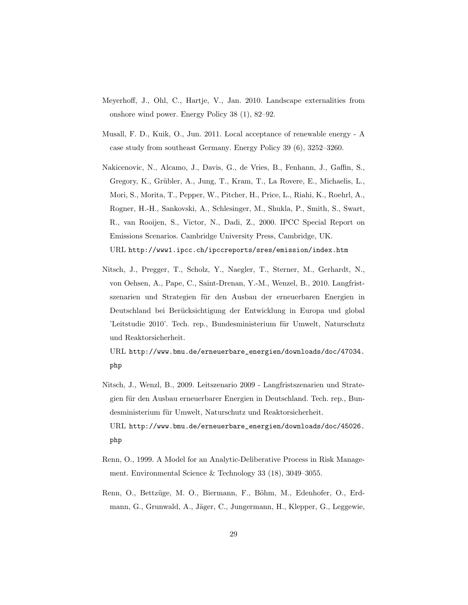- Meyerhoff, J., Ohl, C., Hartje, V., Jan. 2010. Landscape externalities from onshore wind power. Energy Policy 38 (1), 82–92.
- Musall, F. D., Kuik, O., Jun. 2011. Local acceptance of renewable energy A case study from southeast Germany. Energy Policy 39 (6), 3252–3260.
- Nakicenovic, N., Alcamo, J., Davis, G., de Vries, B., Fenhann, J., Gaffin, S., Gregory, K., Grübler, A., Jung, T., Kram, T., La Rovere, E., Michaelis, L., Mori, S., Morita, T., Pepper, W., Pitcher, H., Price, L., Riahi, K., Roehrl, A., Rogner, H.-H., Sankovski, A., Schlesinger, M., Shukla, P., Smith, S., Swart, R., van Rooijen, S., Victor, N., Dadi, Z., 2000. IPCC Special Report on Emissions Scenarios. Cambridge University Press, Cambridge, UK. URL http://www1.ipcc.ch/ipccreports/sres/emission/index.htm
- Nitsch, J., Pregger, T., Scholz, Y., Naegler, T., Sterner, M., Gerhardt, N., von Oehsen, A., Pape, C., Saint-Drenan, Y.-M., Wenzel, B., 2010. Langfristszenarien und Strategien für den Ausbau der erneuerbaren Energien in Deutschland bei Berücksichtigung der Entwicklung in Europa und global 'Leitstudie 2010'. Tech. rep., Bundesministerium für Umwelt, Naturschutz und Reaktorsicherheit.

URL http://www.bmu.de/erneuerbare\_energien/downloads/doc/47034. php

- Nitsch, J., Wenzl, B., 2009. Leitszenario 2009 Langfristszenarien und Strategien für den Ausbau erneuerbarer Energien in Deutschland. Tech. rep., Bundesministerium für Umwelt, Naturschutz und Reaktorsicherheit. URL http://www.bmu.de/erneuerbare\_energien/downloads/doc/45026. php
- Renn, O., 1999. A Model for an Analytic-Deliberative Process in Risk Management. Environmental Science & Technology 33 (18), 3049–3055.
- Renn, O., Bettzüge, M. O., Biermann, F., Böhm, M., Edenhofer, O., Erdmann, G., Grunwald, A., Jäger, C., Jungermann, H., Klepper, G., Leggewie,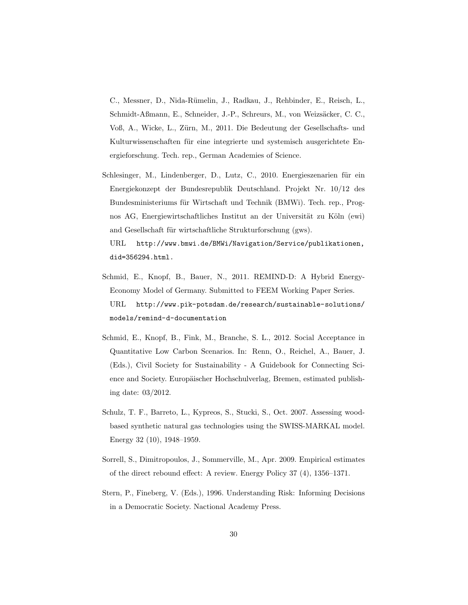C., Messner, D., Nida-R¨umelin, J., Radkau, J., Rehbinder, E., Reisch, L., Schmidt-Aßmann, E., Schneider, J.-P., Schreurs, M., von Weizsäcker, C. C., Voß, A., Wicke, L., Zürn, M., 2011. Die Bedeutung der Gesellschafts- und Kulturwissenschaften für eine integrierte und systemisch ausgerichtete Energieforschung. Tech. rep., German Academies of Science.

- Schlesinger, M., Lindenberger, D., Lutz, C., 2010. Energieszenarien für ein Energiekonzept der Bundesrepublik Deutschland. Projekt Nr. 10/12 des Bundesministeriums für Wirtschaft und Technik (BMWi). Tech. rep., Prognos AG, Energiewirtschaftliches Institut an der Universität zu Köln (ewi) and Gesellschaft für wirtschaftliche Strukturforschung (gws). URL http://www.bmwi.de/BMWi/Navigation/Service/publikationen, did=356294.html.
- Schmid, E., Knopf, B., Bauer, N., 2011. REMIND-D: A Hybrid Energy-Economy Model of Germany. Submitted to FEEM Working Paper Series. URL http://www.pik-potsdam.de/research/sustainable-solutions/ models/remind-d-documentation
- Schmid, E., Knopf, B., Fink, M., Branche, S. L., 2012. Social Acceptance in Quantitative Low Carbon Scenarios. In: Renn, O., Reichel, A., Bauer, J. (Eds.), Civil Society for Sustainability - A Guidebook for Connecting Science and Society. Europäischer Hochschulverlag, Bremen, estimated publishing date: 03/2012.
- Schulz, T. F., Barreto, L., Kypreos, S., Stucki, S., Oct. 2007. Assessing woodbased synthetic natural gas technologies using the SWISS-MARKAL model. Energy 32 (10), 1948–1959.
- Sorrell, S., Dimitropoulos, J., Sommerville, M., Apr. 2009. Empirical estimates of the direct rebound effect: A review. Energy Policy 37 (4), 1356–1371.
- Stern, P., Fineberg, V. (Eds.), 1996. Understanding Risk: Informing Decisions in a Democratic Society. Nactional Academy Press.